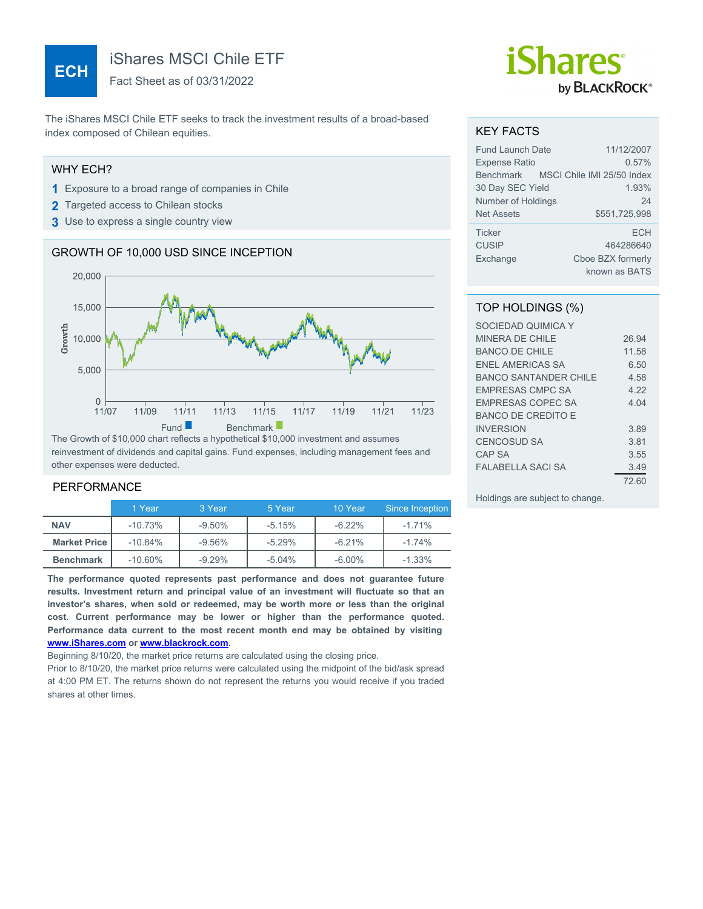# **ECH**

iShares MSCI Chile ETF

Fact Sheet as of 03/31/2022

The iShares MSCI Chile ETF seeks to track the investment results of a broad-based index composed of Chilean equities.

#### WHY ECH?

- **1** Exposure to a broad range of companies in Chile
- **2** Targeted access to Chilean stocks
- **3** Use to express a single country view

### GROWTH OF 10,000 USD SINCE INCEPTION



The Growth of \$10,000 chart reflects a hypothetical \$10,000 investment and assumes reinvestment of dividends and capital gains. Fund expenses, including management fees and other expenses were deducted.

#### PERFORMANCE

|                     | 1 Year     | 3 Year   | 5 Year   | 10 Year   | Since Inception |
|---------------------|------------|----------|----------|-----------|-----------------|
| <b>NAV</b>          | $-10.73%$  | $-9.50%$ | $-5.15%$ | $-6.22%$  | -1.71%          |
| <b>Market Price</b> | $-10.84%$  | $-9.56%$ | $-5.29%$ | $-6.21%$  | -1.74%          |
| <b>Benchmark</b>    | $-10.60\%$ | $-9.29%$ | $-5.04%$ | $-6.00\%$ | $-1.33%$        |

**The performance quoted represents past performance and does not guarantee future results. Investment return and principal value of an investment will fluctuate so that an investor's shares, when sold or redeemed, may be worth more or less than the original cost. Current performance may be lower or higher than the performance quoted. Performance data current to the most recent month end may be obtained by visiting [www.iShares.com](http://www.iShares.com) or [www.blackrock.com](http://www.blackrock.com).**

Beginning 8/10/20, the market price returns are calculated using the closing price.

Prior to 8/10/20, the market price returns were calculated using the midpoint of the bid/ask spread at 4:00 PM ET. The returns shown do not represent the returns you would receive if you traded shares at other times.

# *iShares* by **BLACKROCK**®

#### KEY FACTS

| <b>Fund Launch Date</b> | 11/12/2007                           |
|-------------------------|--------------------------------------|
| <b>Expense Ratio</b>    | 0.57%                                |
|                         | Benchmark MSCI Chile IMI 25/50 Index |
| 30 Day SEC Yield        | 1.93%                                |
| Number of Holdings      | 24                                   |
| <b>Net Assets</b>       | \$551,725,998                        |
| <b>Ticker</b>           | <b>FCH</b>                           |
| <b>CUSIP</b>            | 464286640                            |
| Exchange                | Cboe BZX formerly                    |
|                         | known as BATS                        |

#### TOP HOLDINGS (%)

| SOCIEDAD QUIMICA Y        |       |
|---------------------------|-------|
| MINERA DE CHILE           | 26.94 |
| BANCO DE CHILE            | 11.58 |
| <b>FNEL AMERICAS SA</b>   | 6.50  |
| BANCO SANTANDER CHILE     | 4.58  |
| <b>FMPRESAS CMPC SA</b>   | 4.22  |
| <b>EMPRESAS COPEC SA</b>  | 4 04  |
| <b>BANCO DE CREDITO E</b> |       |
| <b>INVERSION</b>          | 3.89  |
| <b>CENCOSUD SA</b>        | 3.81  |
| CAP SA                    | 3.55  |
| <b>FALABELLA SACI SA</b>  | 3.49  |
|                           | 72.60 |

Holdings are subject to change.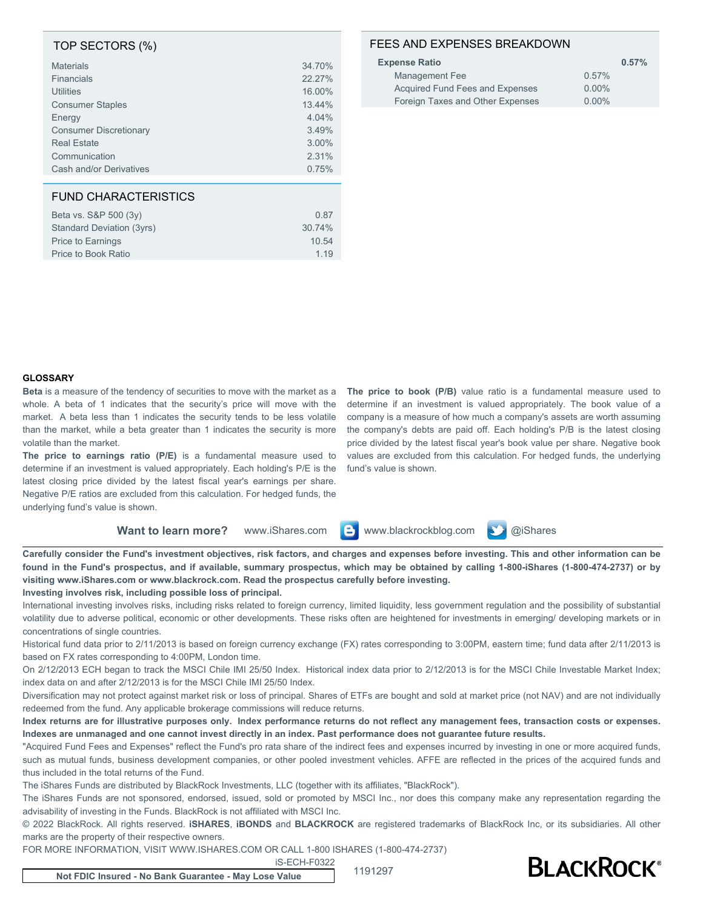#### TOP SECTORS (%)

| <b>Materials</b>              | 34.70% |
|-------------------------------|--------|
| <b>Financials</b>             | 22.27% |
| Utilities                     | 16.00% |
| <b>Consumer Staples</b>       | 13.44% |
| Energy                        | 4.04%  |
| <b>Consumer Discretionary</b> | 3.49%  |
| <b>Real Estate</b>            | 3.00%  |
| Communication                 | 2.31%  |
| Cash and/or Derivatives       | 0.75%  |
|                               |        |

### FUND CHARACTERISTICS

| Beta vs. S&P 500 (3y)     | 0.87   |
|---------------------------|--------|
| Standard Deviation (3yrs) | 30.74% |
| <b>Price to Earnings</b>  | 10.54  |
| Price to Book Ratio       | 1 1 9  |
|                           |        |

#### FEES AND EXPENSES BREAKDOWN

| <b>Expense Ratio</b>             | 0.57%    |
|----------------------------------|----------|
| Management Fee                   | 0.57%    |
| Acquired Fund Fees and Expenses  | $0.00\%$ |
| Foreign Taxes and Other Expenses | $0.00\%$ |

#### **GLOSSARY**

**Beta** is a measure of the tendency of securities to move with the market as a whole. A beta of 1 indicates that the security's price will move with the market. A beta less than 1 indicates the security tends to be less volatile than the market, while a beta greater than 1 indicates the security is more volatile than the market.

**The price to earnings ratio (P/E)** is a fundamental measure used to determine if an investment is valued appropriately. Each holding's P/E is the latest closing price divided by the latest fiscal year's earnings per share. Negative P/E ratios are excluded from this calculation. For hedged funds, the underlying fund's value is shown.

**The price to book (P/B)** value ratio is a fundamental measure used to determine if an investment is valued appropriately. The book value of a company is a measure of how much a company's assets are worth assuming the company's debts are paid off. Each holding's P/B is the latest closing price divided by the latest fiscal year's book value per share. Negative book values are excluded from this calculation. For hedged funds, the underlying fund's value is shown.

| Want to learn more? |  |  | www.iShares.com <b>B</b> www.blackrockblog.com <b>D</b> @iShares |  |  |
|---------------------|--|--|------------------------------------------------------------------|--|--|
|---------------------|--|--|------------------------------------------------------------------|--|--|

**Carefully consider the Fund's investment objectives, risk factors, and charges and expenses before investing. This and other information can be found in the Fund's prospectus, and if available, summary prospectus, which may be obtained by calling 1-800-iShares (1-800-474-2737) or by visiting www.iShares.com or www.blackrock.com. Read the prospectus carefully before investing.**

**Investing involves risk, including possible loss of principal.**

International investing involves risks, including risks related to foreign currency, limited liquidity, less government regulation and the possibility of substantial volatility due to adverse political, economic or other developments. These risks often are heightened for investments in emerging/ developing markets or in concentrations of single countries.

Historical fund data prior to 2/11/2013 is based on foreign currency exchange (FX) rates corresponding to 3:00PM, eastern time; fund data after 2/11/2013 is based on FX rates corresponding to 4:00PM, London time.

On 2/12/2013 ECH began to track the MSCI Chile IMI 25/50 Index. Historical index data prior to 2/12/2013 is for the MSCI Chile Investable Market Index; index data on and after 2/12/2013 is for the MSCI Chile IMI 25/50 Index.

Diversification may not protect against market risk or loss of principal. Shares of ETFs are bought and sold at market price (not NAV) and are not individually redeemed from the fund. Any applicable brokerage commissions will reduce returns.

**Index returns are for illustrative purposes only. Index performance returns do not reflect any management fees, transaction costs or expenses. Indexes are unmanaged and one cannot invest directly in an index. Past performance does not guarantee future results.**

"Acquired Fund Fees and Expenses" reflect the Fund's pro rata share of the indirect fees and expenses incurred by investing in one or more acquired funds, such as mutual funds, business development companies, or other pooled investment vehicles. AFFE are reflected in the prices of the acquired funds and thus included in the total returns of the Fund.

The iShares Funds are distributed by BlackRock Investments, LLC (together with its affiliates, "BlackRock").

The iShares Funds are not sponsored, endorsed, issued, sold or promoted by MSCI Inc., nor does this company make any representation regarding the advisability of investing in the Funds. BlackRock is not affiliated with MSCI Inc.

© 2022 BlackRock. All rights reserved. **iSHARES**, **iBONDS** and **BLACKROCK** are registered trademarks of BlackRock Inc, or its subsidiaries. All other marks are the property of their respective owners.

iS-ECH-F0322

FOR MORE INFORMATION, VISIT WWW.ISHARES.COM OR CALL 1-800 ISHARES (1-800-474-2737)